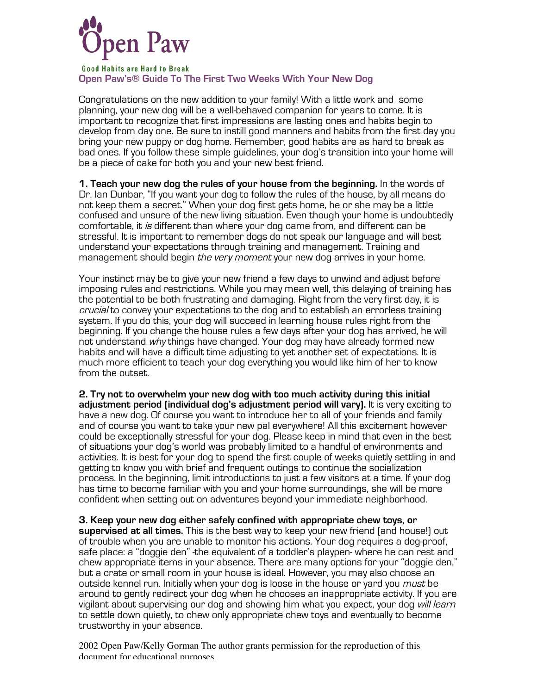

**Good Habits are Hard to Break Open Paw's® Guide To The First Two Weeks With Your New Dog**

Congratulations on the new addition to your family! With a little work and some planning, your new dog will be a well-behaved companion for years to come. It is important to recognize that first impressions are lasting ones and habits begin to develop from day one. Be sure to instill good manners and habits from the first day you bring your new puppy or dog home. Remember, good habits are as hard to break as bad ones. If you follow these simple guidelines, your dog's transition into your home will be a piece of cake for both you and your new best friend.

**1. Teach your new dog the rules of your house from the beginning.** In the words of Dr. Ian Dunbar, "If you want your dog to follow the rules of the house, by all means do not keep them a secret." When your dog first gets home, he or she may be a little confused and unsure of the new living situation. Even though your home is undoubtedly comfortable, it is different than where your dog came from, and different can be stressful. It is important to remember dogs do not speak our language and will best understand your expectations through training and management. Training and management should begin *the very moment* your new dog arrives in your home.

Your instinct may be to give your new friend a few days to unwind and adjust before imposing rules and restrictions. While you may mean well, this delaying of training has the potential to be both frustrating and damaging. Right from the very first day, it is crucial to convey your expectations to the dog and to establish an errorless training system. If you do this, your dog will succeed in learning house rules right from the beginning. If you change the house rules a few days after your dog has arrived, he will not understand why things have changed. Your dog may have already formed new habits and will have a difficult time adjusting to yet another set of expectations. It is much more efficient to teach your dog everything you would like him of her to know from the outset.

**2. Try not to overwhelm your new dog with too much activity during this initial adjustment period (individual dog's adjustment period will vary).** It is very exciting to have a new dog. Of course you want to introduce her to all of your friends and family and of course you want to take your new pal everywhere! All this excitement however could be exceptionally stressful for your dog. Please keep in mind that even in the best of situations your dog's world was probably limited to a handful of environments and activities. It is best for your dog to spend the first couple of weeks quietly settling in and getting to know you with brief and frequent outings to continue the socialization process. In the beginning, limit introductions to just a few visitors at a time. If your dog has time to become familiar with you and your home surroundings, she will be more confident when setting out on adventures beyond your immediate neighborhood.

**3. Keep your new dog either safely confined with appropriate chew toys, or supervised at all times.** This is the best way to keep your new friend (and house!) out of trouble when you are unable to monitor his actions. Your dog requires a dog-proof, safe place: a "doggie den" -the equivalent of a toddler's playpen- where he can rest and chew appropriate items in your absence. There are many options for your "doggie den," but a crate or small room in your house is ideal. However, you may also choose an outside kennel run. Initially when your dog is loose in the house or yard you *must* be around to gently redirect your dog when he chooses an inappropriate activity. If you are vigilant about supervising our dog and showing him what you expect, your dog *will learn* to settle down quietly, to chew only appropriate chew toys and eventually to become trustworthy in your absence.

2002 Open Paw/Kelly Gorman The author grants permission for the reproduction of this document for educational purposes.